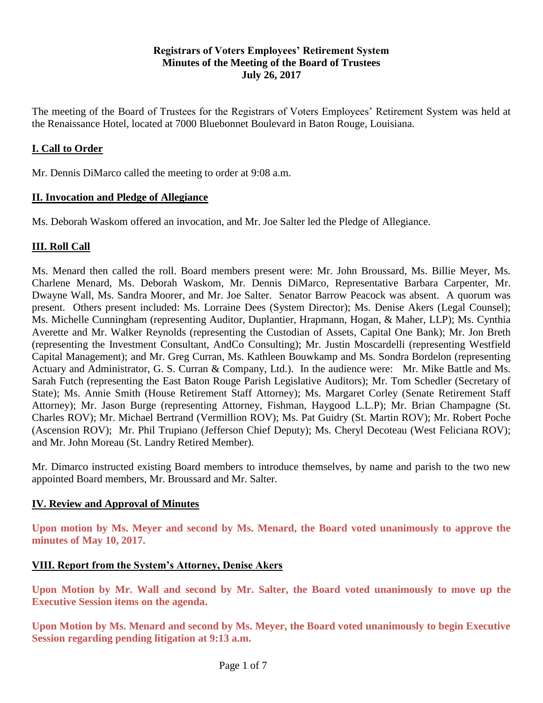# **Registrars of Voters Employees' Retirement System Minutes of the Meeting of the Board of Trustees July 26, 2017**

The meeting of the Board of Trustees for the Registrars of Voters Employees' Retirement System was held at the Renaissance Hotel, located at 7000 Bluebonnet Boulevard in Baton Rouge, Louisiana.

# **I. Call to Order**

Mr. Dennis DiMarco called the meeting to order at 9:08 a.m.

# **II. Invocation and Pledge of Allegiance**

Ms. Deborah Waskom offered an invocation, and Mr. Joe Salter led the Pledge of Allegiance.

# **III. Roll Call**

Ms. Menard then called the roll. Board members present were: Mr. John Broussard, Ms. Billie Meyer, Ms. Charlene Menard, Ms. Deborah Waskom, Mr. Dennis DiMarco, Representative Barbara Carpenter, Mr. Dwayne Wall, Ms. Sandra Moorer, and Mr. Joe Salter. Senator Barrow Peacock was absent. A quorum was present. Others present included: Ms. Lorraine Dees (System Director); Ms. Denise Akers (Legal Counsel); Ms. Michelle Cunningham (representing Auditor, Duplantier, Hrapmann, Hogan, & Maher, LLP); Ms. Cynthia Averette and Mr. Walker Reynolds (representing the Custodian of Assets, Capital One Bank); Mr. Jon Breth (representing the Investment Consultant, AndCo Consulting); Mr. Justin Moscardelli (representing Westfield Capital Management); and Mr. Greg Curran, Ms. Kathleen Bouwkamp and Ms. Sondra Bordelon (representing Actuary and Administrator, G. S. Curran & Company, Ltd.). In the audience were: Mr. Mike Battle and Ms. Sarah Futch (representing the East Baton Rouge Parish Legislative Auditors); Mr. Tom Schedler (Secretary of State); Ms. Annie Smith (House Retirement Staff Attorney); Ms. Margaret Corley (Senate Retirement Staff Attorney); Mr. Jason Burge (representing Attorney, Fishman, Haygood L.L.P); Mr. Brian Champagne (St. Charles ROV); Mr. Michael Bertrand (Vermillion ROV); Ms. Pat Guidry (St. Martin ROV); Mr. Robert Poche (Ascension ROV); Mr. Phil Trupiano (Jefferson Chief Deputy); Ms. Cheryl Decoteau (West Feliciana ROV); and Mr. John Moreau (St. Landry Retired Member).

Mr. Dimarco instructed existing Board members to introduce themselves, by name and parish to the two new appointed Board members, Mr. Broussard and Mr. Salter.

# **IV. Review and Approval of Minutes**

**Upon motion by Ms. Meyer and second by Ms. Menard, the Board voted unanimously to approve the minutes of May 10, 2017.** 

# **VIII. Report from the System's Attorney, Denise Akers**

**Upon Motion by Mr. Wall and second by Mr. Salter, the Board voted unanimously to move up the Executive Session items on the agenda.**

**Upon Motion by Ms. Menard and second by Ms. Meyer, the Board voted unanimously to begin Executive Session regarding pending litigation at 9:13 a.m.**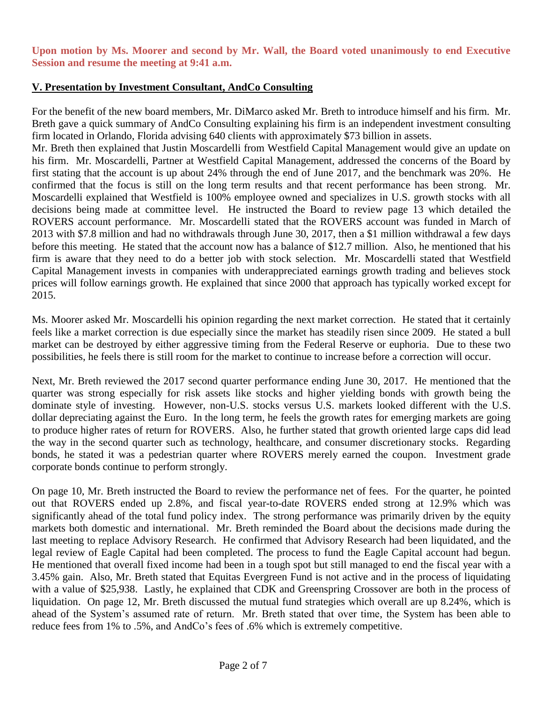**Upon motion by Ms. Moorer and second by Mr. Wall, the Board voted unanimously to end Executive Session and resume the meeting at 9:41 a.m.**

# **V. Presentation by Investment Consultant, AndCo Consulting**

For the benefit of the new board members, Mr. DiMarco asked Mr. Breth to introduce himself and his firm. Mr. Breth gave a quick summary of AndCo Consulting explaining his firm is an independent investment consulting firm located in Orlando, Florida advising 640 clients with approximately \$73 billion in assets.

Mr. Breth then explained that Justin Moscardelli from Westfield Capital Management would give an update on his firm. Mr. Moscardelli, Partner at Westfield Capital Management, addressed the concerns of the Board by first stating that the account is up about 24% through the end of June 2017, and the benchmark was 20%. He confirmed that the focus is still on the long term results and that recent performance has been strong. Mr. Moscardelli explained that Westfield is 100% employee owned and specializes in U.S. growth stocks with all decisions being made at committee level. He instructed the Board to review page 13 which detailed the ROVERS account performance. Mr. Moscardelli stated that the ROVERS account was funded in March of 2013 with \$7.8 million and had no withdrawals through June 30, 2017, then a \$1 million withdrawal a few days before this meeting. He stated that the account now has a balance of \$12.7 million. Also, he mentioned that his firm is aware that they need to do a better job with stock selection. Mr. Moscardelli stated that Westfield Capital Management invests in companies with underappreciated earnings growth trading and believes stock prices will follow earnings growth. He explained that since 2000 that approach has typically worked except for 2015.

Ms. Moorer asked Mr. Moscardelli his opinion regarding the next market correction. He stated that it certainly feels like a market correction is due especially since the market has steadily risen since 2009. He stated a bull market can be destroyed by either aggressive timing from the Federal Reserve or euphoria. Due to these two possibilities, he feels there is still room for the market to continue to increase before a correction will occur.

Next, Mr. Breth reviewed the 2017 second quarter performance ending June 30, 2017. He mentioned that the quarter was strong especially for risk assets like stocks and higher yielding bonds with growth being the dominate style of investing. However, non-U.S. stocks versus U.S. markets looked different with the U.S. dollar depreciating against the Euro. In the long term, he feels the growth rates for emerging markets are going to produce higher rates of return for ROVERS. Also, he further stated that growth oriented large caps did lead the way in the second quarter such as technology, healthcare, and consumer discretionary stocks. Regarding bonds, he stated it was a pedestrian quarter where ROVERS merely earned the coupon. Investment grade corporate bonds continue to perform strongly.

On page 10, Mr. Breth instructed the Board to review the performance net of fees. For the quarter, he pointed out that ROVERS ended up 2.8%, and fiscal year-to-date ROVERS ended strong at 12.9% which was significantly ahead of the total fund policy index. The strong performance was primarily driven by the equity markets both domestic and international. Mr. Breth reminded the Board about the decisions made during the last meeting to replace Advisory Research. He confirmed that Advisory Research had been liquidated, and the legal review of Eagle Capital had been completed. The process to fund the Eagle Capital account had begun. He mentioned that overall fixed income had been in a tough spot but still managed to end the fiscal year with a 3.45% gain. Also, Mr. Breth stated that Equitas Evergreen Fund is not active and in the process of liquidating with a value of \$25,938. Lastly, he explained that CDK and Greenspring Crossover are both in the process of liquidation. On page 12, Mr. Breth discussed the mutual fund strategies which overall are up 8.24%, which is ahead of the System's assumed rate of return. Mr. Breth stated that over time, the System has been able to reduce fees from 1% to .5%, and AndCo's fees of .6% which is extremely competitive.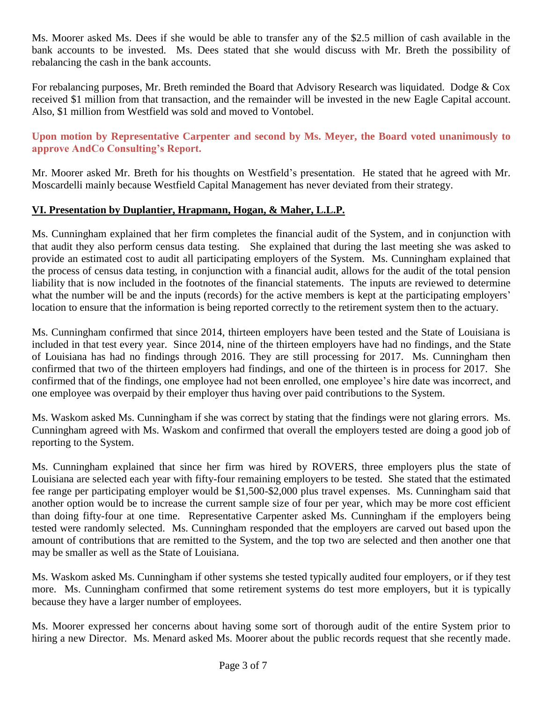Ms. Moorer asked Ms. Dees if she would be able to transfer any of the \$2.5 million of cash available in the bank accounts to be invested. Ms. Dees stated that she would discuss with Mr. Breth the possibility of rebalancing the cash in the bank accounts.

For rebalancing purposes, Mr. Breth reminded the Board that Advisory Research was liquidated. Dodge & Cox received \$1 million from that transaction, and the remainder will be invested in the new Eagle Capital account. Also, \$1 million from Westfield was sold and moved to Vontobel.

# **Upon motion by Representative Carpenter and second by Ms. Meyer, the Board voted unanimously to approve AndCo Consulting's Report.**

Mr. Moorer asked Mr. Breth for his thoughts on Westfield's presentation. He stated that he agreed with Mr. Moscardelli mainly because Westfield Capital Management has never deviated from their strategy.

# **VI. Presentation by Duplantier, Hrapmann, Hogan, & Maher, L.L.P.**

Ms. Cunningham explained that her firm completes the financial audit of the System, and in conjunction with that audit they also perform census data testing. She explained that during the last meeting she was asked to provide an estimated cost to audit all participating employers of the System. Ms. Cunningham explained that the process of census data testing, in conjunction with a financial audit, allows for the audit of the total pension liability that is now included in the footnotes of the financial statements. The inputs are reviewed to determine what the number will be and the inputs (records) for the active members is kept at the participating employers' location to ensure that the information is being reported correctly to the retirement system then to the actuary.

Ms. Cunningham confirmed that since 2014, thirteen employers have been tested and the State of Louisiana is included in that test every year. Since 2014, nine of the thirteen employers have had no findings, and the State of Louisiana has had no findings through 2016. They are still processing for 2017. Ms. Cunningham then confirmed that two of the thirteen employers had findings, and one of the thirteen is in process for 2017. She confirmed that of the findings, one employee had not been enrolled, one employee's hire date was incorrect, and one employee was overpaid by their employer thus having over paid contributions to the System.

Ms. Waskom asked Ms. Cunningham if she was correct by stating that the findings were not glaring errors. Ms. Cunningham agreed with Ms. Waskom and confirmed that overall the employers tested are doing a good job of reporting to the System.

Ms. Cunningham explained that since her firm was hired by ROVERS, three employers plus the state of Louisiana are selected each year with fifty-four remaining employers to be tested. She stated that the estimated fee range per participating employer would be \$1,500-\$2,000 plus travel expenses. Ms. Cunningham said that another option would be to increase the current sample size of four per year, which may be more cost efficient than doing fifty-four at one time. Representative Carpenter asked Ms. Cunningham if the employers being tested were randomly selected. Ms. Cunningham responded that the employers are carved out based upon the amount of contributions that are remitted to the System, and the top two are selected and then another one that may be smaller as well as the State of Louisiana.

Ms. Waskom asked Ms. Cunningham if other systems she tested typically audited four employers, or if they test more. Ms. Cunningham confirmed that some retirement systems do test more employers, but it is typically because they have a larger number of employees.

Ms. Moorer expressed her concerns about having some sort of thorough audit of the entire System prior to hiring a new Director. Ms. Menard asked Ms. Moorer about the public records request that she recently made.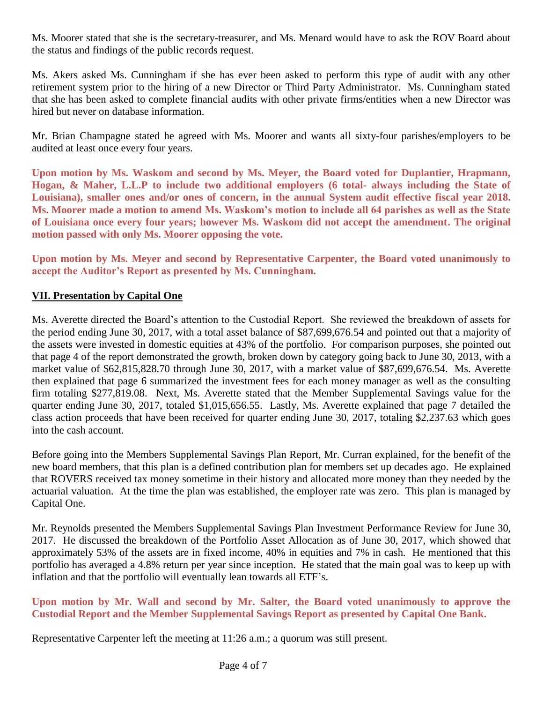Ms. Moorer stated that she is the secretary-treasurer, and Ms. Menard would have to ask the ROV Board about the status and findings of the public records request.

Ms. Akers asked Ms. Cunningham if she has ever been asked to perform this type of audit with any other retirement system prior to the hiring of a new Director or Third Party Administrator. Ms. Cunningham stated that she has been asked to complete financial audits with other private firms/entities when a new Director was hired but never on database information.

Mr. Brian Champagne stated he agreed with Ms. Moorer and wants all sixty-four parishes/employers to be audited at least once every four years.

**Upon motion by Ms. Waskom and second by Ms. Meyer, the Board voted for Duplantier, Hrapmann, Hogan, & Maher, L.L.P to include two additional employers (6 total- always including the State of Louisiana), smaller ones and/or ones of concern, in the annual System audit effective fiscal year 2018. Ms. Moorer made a motion to amend Ms. Waskom's motion to include all 64 parishes as well as the State of Louisiana once every four years; however Ms. Waskom did not accept the amendment. The original motion passed with only Ms. Moorer opposing the vote.**

**Upon motion by Ms. Meyer and second by Representative Carpenter, the Board voted unanimously to accept the Auditor's Report as presented by Ms. Cunningham.**

# **VII. Presentation by Capital One**

Ms. Averette directed the Board's attention to the Custodial Report. She reviewed the breakdown of assets for the period ending June 30, 2017, with a total asset balance of \$87,699,676.54 and pointed out that a majority of the assets were invested in domestic equities at 43% of the portfolio. For comparison purposes, she pointed out that page 4 of the report demonstrated the growth, broken down by category going back to June 30, 2013, with a market value of \$62,815,828.70 through June 30, 2017, with a market value of \$87,699,676.54. Ms. Averette then explained that page 6 summarized the investment fees for each money manager as well as the consulting firm totaling \$277,819.08. Next, Ms. Averette stated that the Member Supplemental Savings value for the quarter ending June 30, 2017, totaled \$1,015,656.55. Lastly, Ms. Averette explained that page 7 detailed the class action proceeds that have been received for quarter ending June 30, 2017, totaling \$2,237.63 which goes into the cash account.

Before going into the Members Supplemental Savings Plan Report, Mr. Curran explained, for the benefit of the new board members, that this plan is a defined contribution plan for members set up decades ago. He explained that ROVERS received tax money sometime in their history and allocated more money than they needed by the actuarial valuation. At the time the plan was established, the employer rate was zero. This plan is managed by Capital One.

Mr. Reynolds presented the Members Supplemental Savings Plan Investment Performance Review for June 30, 2017. He discussed the breakdown of the Portfolio Asset Allocation as of June 30, 2017, which showed that approximately 53% of the assets are in fixed income, 40% in equities and 7% in cash. He mentioned that this portfolio has averaged a 4.8% return per year since inception. He stated that the main goal was to keep up with inflation and that the portfolio will eventually lean towards all ETF's.

# **Upon motion by Mr. Wall and second by Mr. Salter, the Board voted unanimously to approve the Custodial Report and the Member Supplemental Savings Report as presented by Capital One Bank.**

Representative Carpenter left the meeting at 11:26 a.m.; a quorum was still present.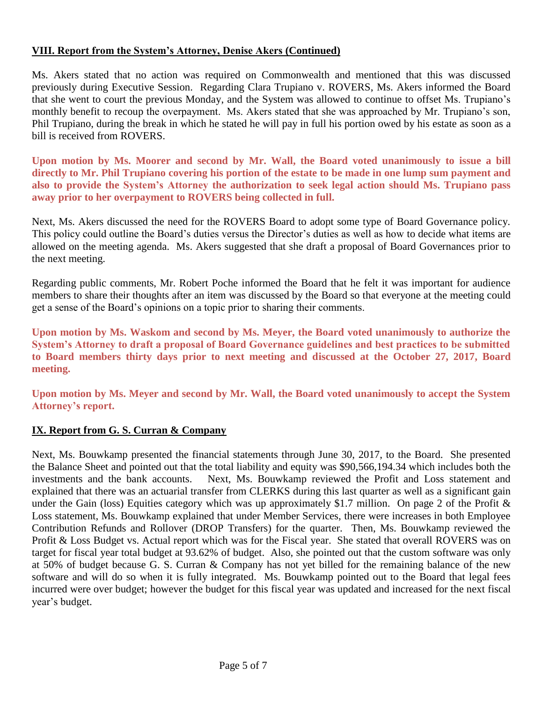# **VIII. Report from the System's Attorney, Denise Akers (Continued)**

Ms. Akers stated that no action was required on Commonwealth and mentioned that this was discussed previously during Executive Session. Regarding Clara Trupiano v. ROVERS, Ms. Akers informed the Board that she went to court the previous Monday, and the System was allowed to continue to offset Ms. Trupiano's monthly benefit to recoup the overpayment. Ms. Akers stated that she was approached by Mr. Trupiano's son, Phil Trupiano, during the break in which he stated he will pay in full his portion owed by his estate as soon as a bill is received from ROVERS.

**Upon motion by Ms. Moorer and second by Mr. Wall, the Board voted unanimously to issue a bill directly to Mr. Phil Trupiano covering his portion of the estate to be made in one lump sum payment and also to provide the System's Attorney the authorization to seek legal action should Ms. Trupiano pass away prior to her overpayment to ROVERS being collected in full.**

Next, Ms. Akers discussed the need for the ROVERS Board to adopt some type of Board Governance policy. This policy could outline the Board's duties versus the Director's duties as well as how to decide what items are allowed on the meeting agenda. Ms. Akers suggested that she draft a proposal of Board Governances prior to the next meeting.

Regarding public comments, Mr. Robert Poche informed the Board that he felt it was important for audience members to share their thoughts after an item was discussed by the Board so that everyone at the meeting could get a sense of the Board's opinions on a topic prior to sharing their comments.

**Upon motion by Ms. Waskom and second by Ms. Meyer, the Board voted unanimously to authorize the System's Attorney to draft a proposal of Board Governance guidelines and best practices to be submitted to Board members thirty days prior to next meeting and discussed at the October 27, 2017, Board meeting.**

**Upon motion by Ms. Meyer and second by Mr. Wall, the Board voted unanimously to accept the System Attorney's report.**

# **IX. Report from G. S. Curran & Company**

Next, Ms. Bouwkamp presented the financial statements through June 30, 2017, to the Board. She presented the Balance Sheet and pointed out that the total liability and equity was \$90,566,194.34 which includes both the investments and the bank accounts. Next, Ms. Bouwkamp reviewed the Profit and Loss statement and explained that there was an actuarial transfer from CLERKS during this last quarter as well as a significant gain under the Gain (loss) Equities category which was up approximately \$1.7 million. On page 2 of the Profit  $\&$ Loss statement, Ms. Bouwkamp explained that under Member Services, there were increases in both Employee Contribution Refunds and Rollover (DROP Transfers) for the quarter. Then, Ms. Bouwkamp reviewed the Profit & Loss Budget vs. Actual report which was for the Fiscal year. She stated that overall ROVERS was on target for fiscal year total budget at 93.62% of budget. Also, she pointed out that the custom software was only at 50% of budget because G. S. Curran & Company has not yet billed for the remaining balance of the new software and will do so when it is fully integrated. Ms. Bouwkamp pointed out to the Board that legal fees incurred were over budget; however the budget for this fiscal year was updated and increased for the next fiscal year's budget.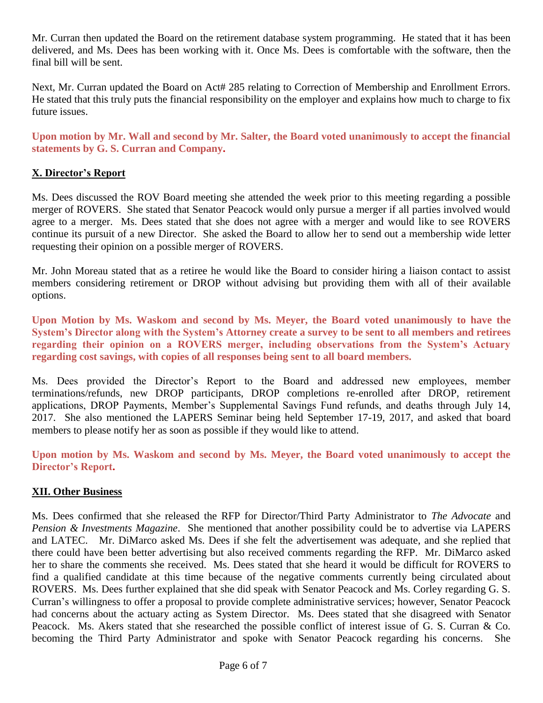Mr. Curran then updated the Board on the retirement database system programming. He stated that it has been delivered, and Ms. Dees has been working with it. Once Ms. Dees is comfortable with the software, then the final bill will be sent.

Next, Mr. Curran updated the Board on Act# 285 relating to Correction of Membership and Enrollment Errors. He stated that this truly puts the financial responsibility on the employer and explains how much to charge to fix future issues.

**Upon motion by Mr. Wall and second by Mr. Salter, the Board voted unanimously to accept the financial statements by G. S. Curran and Company.** 

# **X. Director's Report**

Ms. Dees discussed the ROV Board meeting she attended the week prior to this meeting regarding a possible merger of ROVERS. She stated that Senator Peacock would only pursue a merger if all parties involved would agree to a merger. Ms. Dees stated that she does not agree with a merger and would like to see ROVERS continue its pursuit of a new Director. She asked the Board to allow her to send out a membership wide letter requesting their opinion on a possible merger of ROVERS.

Mr. John Moreau stated that as a retiree he would like the Board to consider hiring a liaison contact to assist members considering retirement or DROP without advising but providing them with all of their available options.

**Upon Motion by Ms. Waskom and second by Ms. Meyer, the Board voted unanimously to have the System's Director along with the System's Attorney create a survey to be sent to all members and retirees regarding their opinion on a ROVERS merger, including observations from the System's Actuary regarding cost savings, with copies of all responses being sent to all board members.** 

Ms. Dees provided the Director's Report to the Board and addressed new employees, member terminations/refunds, new DROP participants, DROP completions re-enrolled after DROP, retirement applications, DROP Payments, Member's Supplemental Savings Fund refunds, and deaths through July 14, 2017. She also mentioned the LAPERS Seminar being held September 17-19, 2017, and asked that board members to please notify her as soon as possible if they would like to attend.

**Upon motion by Ms. Waskom and second by Ms. Meyer, the Board voted unanimously to accept the Director's Report.** 

# **XII. Other Business**

Ms. Dees confirmed that she released the RFP for Director/Third Party Administrator to *The Advocate* and *Pension & Investments Magazine*. She mentioned that another possibility could be to advertise via LAPERS and LATEC. Mr. DiMarco asked Ms. Dees if she felt the advertisement was adequate, and she replied that there could have been better advertising but also received comments regarding the RFP. Mr. DiMarco asked her to share the comments she received. Ms. Dees stated that she heard it would be difficult for ROVERS to find a qualified candidate at this time because of the negative comments currently being circulated about ROVERS. Ms. Dees further explained that she did speak with Senator Peacock and Ms. Corley regarding G. S. Curran's willingness to offer a proposal to provide complete administrative services; however, Senator Peacock had concerns about the actuary acting as System Director. Ms. Dees stated that she disagreed with Senator Peacock. Ms. Akers stated that she researched the possible conflict of interest issue of G. S. Curran & Co. becoming the Third Party Administrator and spoke with Senator Peacock regarding his concerns. She